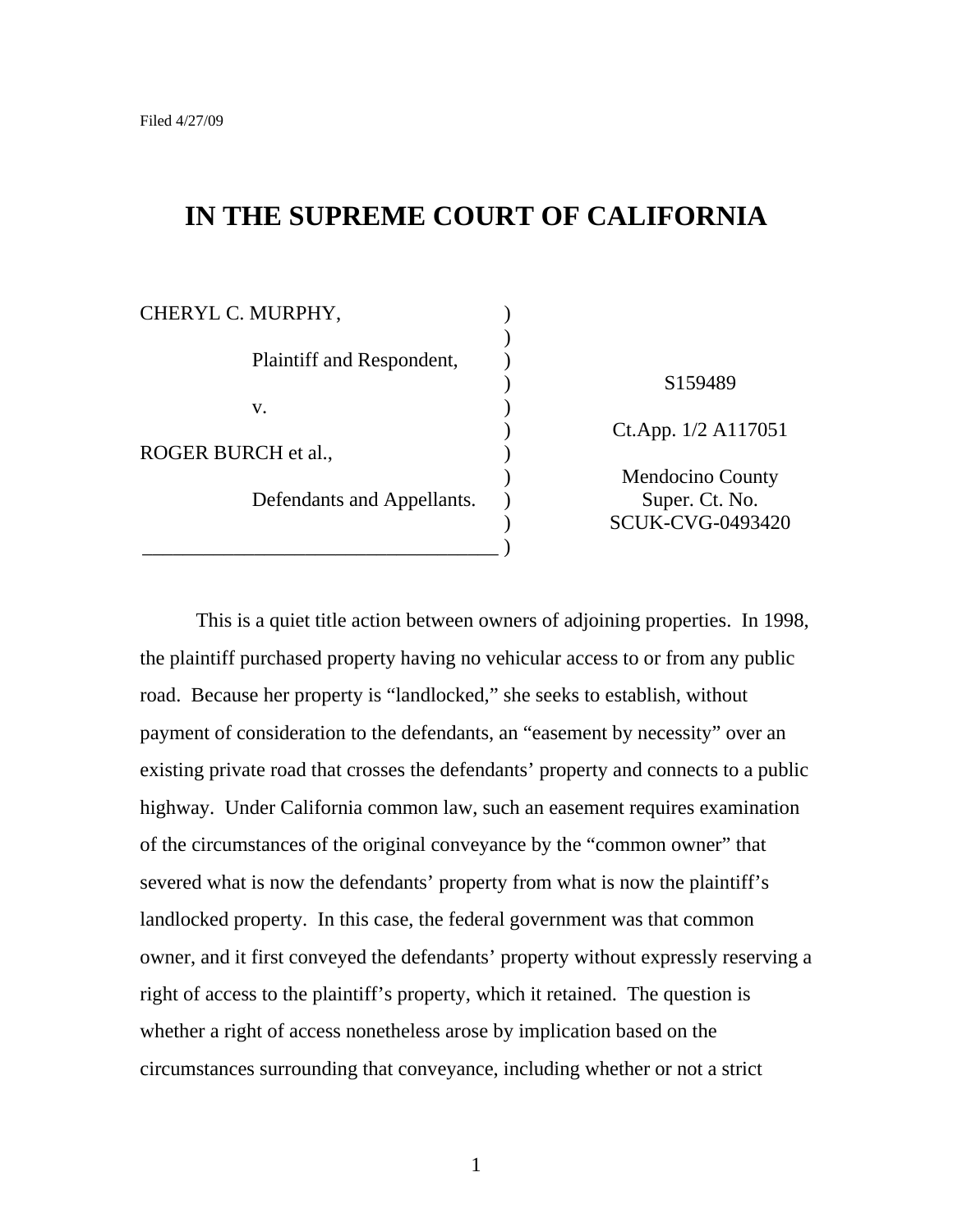# **IN THE SUPREME COURT OF CALIFORNIA**

| CHERYL C. MURPHY,          |                         |
|----------------------------|-------------------------|
|                            |                         |
| Plaintiff and Respondent,  |                         |
|                            | S <sub>159489</sub>     |
| V.                         |                         |
|                            | Ct.App. 1/2 A117051     |
| ROGER BURCH et al.,        |                         |
|                            | Mendocino County        |
| Defendants and Appellants. | Super. Ct. No.          |
|                            | <b>SCUK-CVG-0493420</b> |
|                            |                         |

This is a quiet title action between owners of adjoining properties. In 1998, the plaintiff purchased property having no vehicular access to or from any public road. Because her property is "landlocked," she seeks to establish, without payment of consideration to the defendants, an "easement by necessity" over an existing private road that crosses the defendants' property and connects to a public highway. Under California common law, such an easement requires examination of the circumstances of the original conveyance by the "common owner" that severed what is now the defendants' property from what is now the plaintiff's landlocked property. In this case, the federal government was that common owner, and it first conveyed the defendants' property without expressly reserving a right of access to the plaintiff's property, which it retained. The question is whether a right of access nonetheless arose by implication based on the circumstances surrounding that conveyance, including whether or not a strict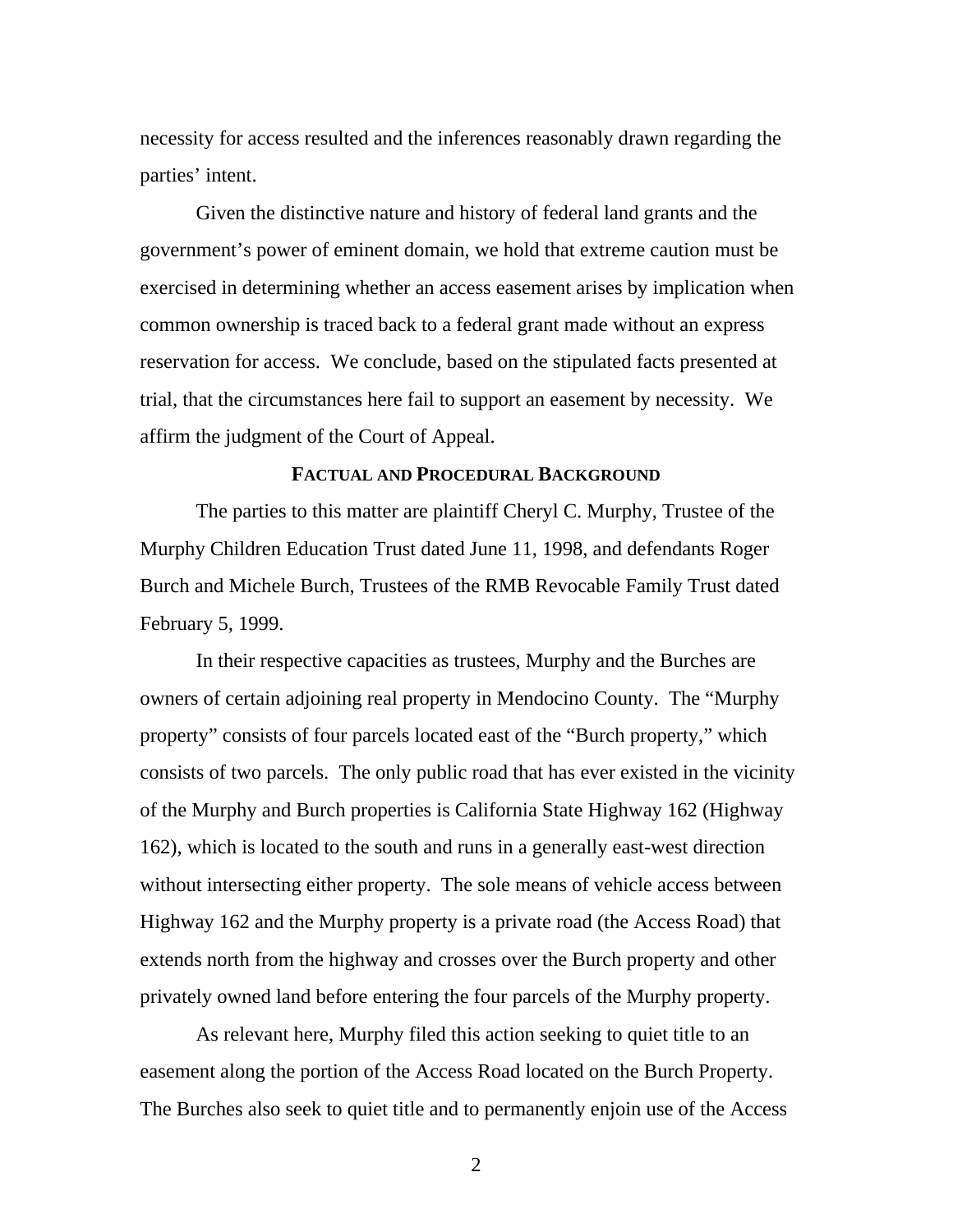necessity for access resulted and the inferences reasonably drawn regarding the parties' intent.

Given the distinctive nature and history of federal land grants and the government's power of eminent domain, we hold that extreme caution must be exercised in determining whether an access easement arises by implication when common ownership is traced back to a federal grant made without an express reservation for access. We conclude, based on the stipulated facts presented at trial, that the circumstances here fail to support an easement by necessity. We affirm the judgment of the Court of Appeal.

## **FACTUAL AND PROCEDURAL BACKGROUND**

The parties to this matter are plaintiff Cheryl C. Murphy, Trustee of the Murphy Children Education Trust dated June 11, 1998, and defendants Roger Burch and Michele Burch, Trustees of the RMB Revocable Family Trust dated February 5, 1999.

In their respective capacities as trustees, Murphy and the Burches are owners of certain adjoining real property in Mendocino County. The "Murphy property" consists of four parcels located east of the "Burch property," which consists of two parcels. The only public road that has ever existed in the vicinity of the Murphy and Burch properties is California State Highway 162 (Highway 162), which is located to the south and runs in a generally east-west direction without intersecting either property. The sole means of vehicle access between Highway 162 and the Murphy property is a private road (the Access Road) that extends north from the highway and crosses over the Burch property and other privately owned land before entering the four parcels of the Murphy property.

As relevant here, Murphy filed this action seeking to quiet title to an easement along the portion of the Access Road located on the Burch Property. The Burches also seek to quiet title and to permanently enjoin use of the Access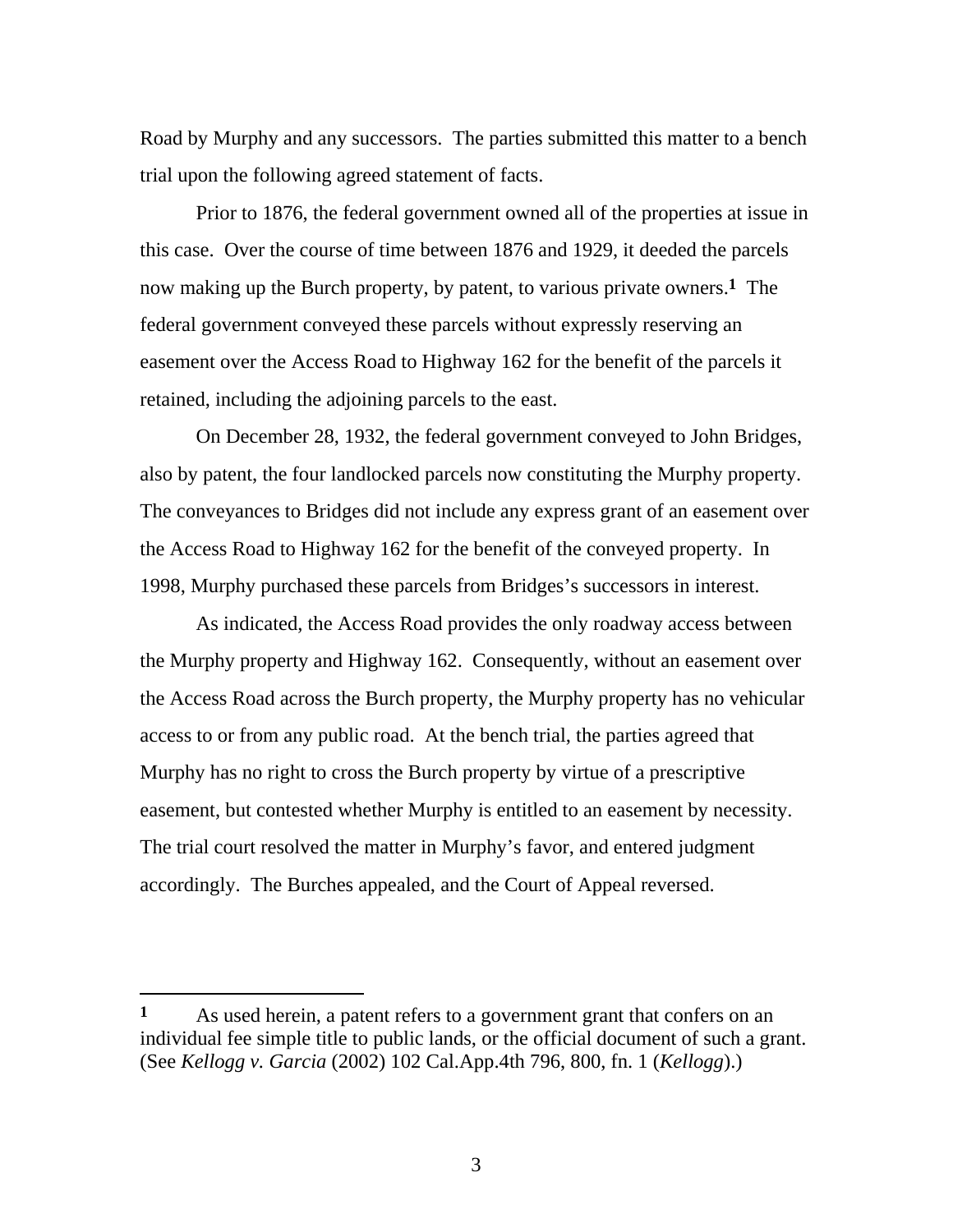Road by Murphy and any successors. The parties submitted this matter to a bench trial upon the following agreed statement of facts.

Prior to 1876, the federal government owned all of the properties at issue in this case. Over the course of time between 1876 and 1929, it deeded the parcels now making up the Burch property, by patent, to various private owners.**1** The federal government conveyed these parcels without expressly reserving an easement over the Access Road to Highway 162 for the benefit of the parcels it retained, including the adjoining parcels to the east.

On December 28, 1932, the federal government conveyed to John Bridges, also by patent, the four landlocked parcels now constituting the Murphy property. The conveyances to Bridges did not include any express grant of an easement over the Access Road to Highway 162 for the benefit of the conveyed property. In 1998, Murphy purchased these parcels from Bridges's successors in interest.

As indicated, the Access Road provides the only roadway access between the Murphy property and Highway 162. Consequently, without an easement over the Access Road across the Burch property, the Murphy property has no vehicular access to or from any public road. At the bench trial, the parties agreed that Murphy has no right to cross the Burch property by virtue of a prescriptive easement, but contested whether Murphy is entitled to an easement by necessity. The trial court resolved the matter in Murphy's favor, and entered judgment accordingly. The Burches appealed, and the Court of Appeal reversed.

 $\overline{a}$ 

**<sup>1</sup>** As used herein, a patent refers to a government grant that confers on an individual fee simple title to public lands, or the official document of such a grant. (See *Kellogg v. Garcia* (2002) 102 Cal.App.4th 796, 800, fn. 1 (*Kellogg*).)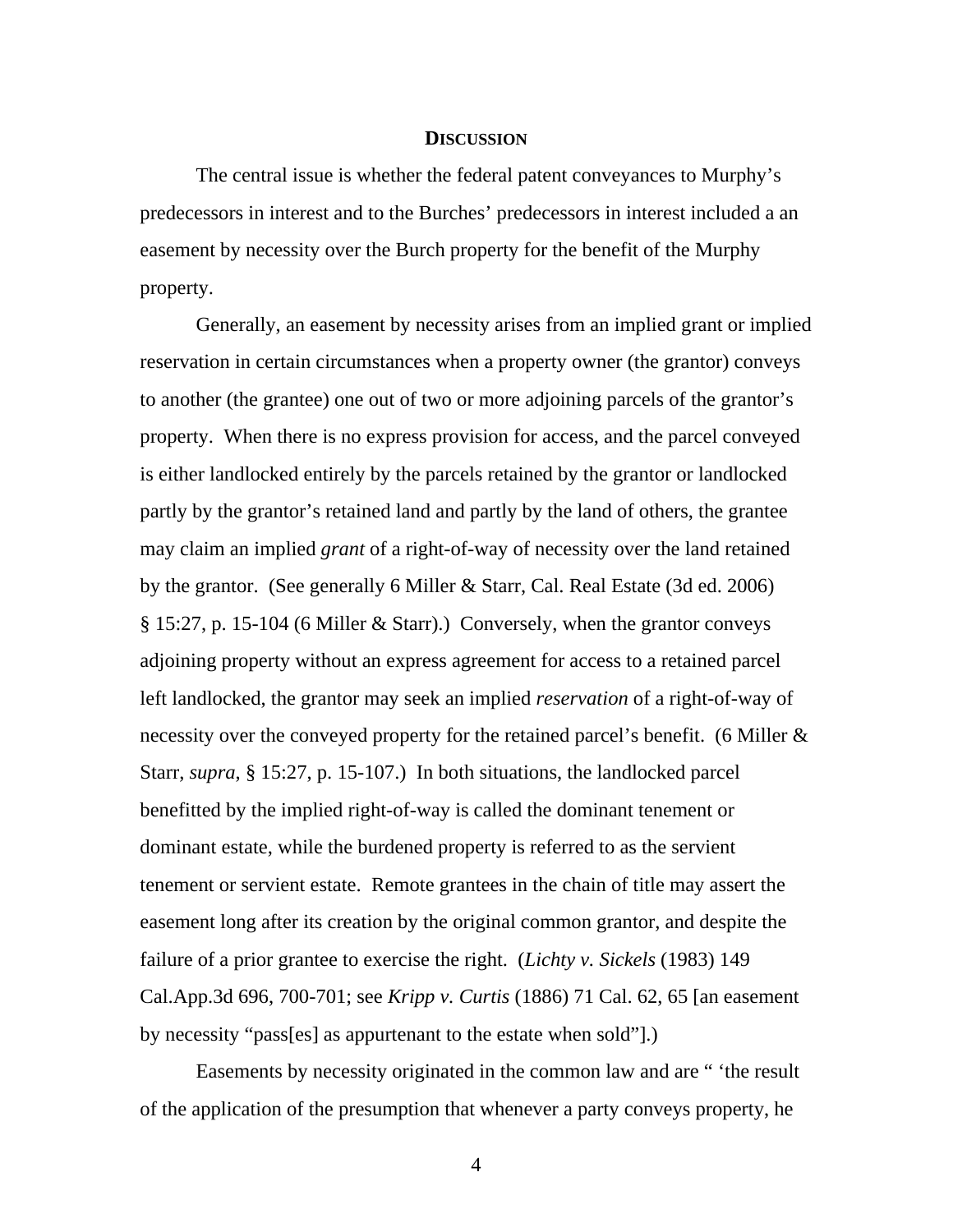## **DISCUSSION**

The central issue is whether the federal patent conveyances to Murphy's predecessors in interest and to the Burches' predecessors in interest included a an easement by necessity over the Burch property for the benefit of the Murphy property.

Generally, an easement by necessity arises from an implied grant or implied reservation in certain circumstances when a property owner (the grantor) conveys to another (the grantee) one out of two or more adjoining parcels of the grantor's property. When there is no express provision for access, and the parcel conveyed is either landlocked entirely by the parcels retained by the grantor or landlocked partly by the grantor's retained land and partly by the land of others, the grantee may claim an implied *grant* of a right-of-way of necessity over the land retained by the grantor. (See generally 6 Miller & Starr, Cal. Real Estate (3d ed. 2006) § 15:27, p. 15-104 (6 Miller & Starr).) Conversely, when the grantor conveys adjoining property without an express agreement for access to a retained parcel left landlocked, the grantor may seek an implied *reservation* of a right-of-way of necessity over the conveyed property for the retained parcel's benefit. (6 Miller & Starr, *supra*, § 15:27, p. 15-107.) In both situations, the landlocked parcel benefitted by the implied right-of-way is called the dominant tenement or dominant estate, while the burdened property is referred to as the servient tenement or servient estate. Remote grantees in the chain of title may assert the easement long after its creation by the original common grantor, and despite the failure of a prior grantee to exercise the right. (*Lichty v. Sickels* (1983) 149 Cal.App.3d 696, 700-701; see *Kripp v. Curtis* (1886) 71 Cal. 62, 65 [an easement by necessity "pass[es] as appurtenant to the estate when sold"].)

Easements by necessity originated in the common law and are " 'the result of the application of the presumption that whenever a party conveys property, he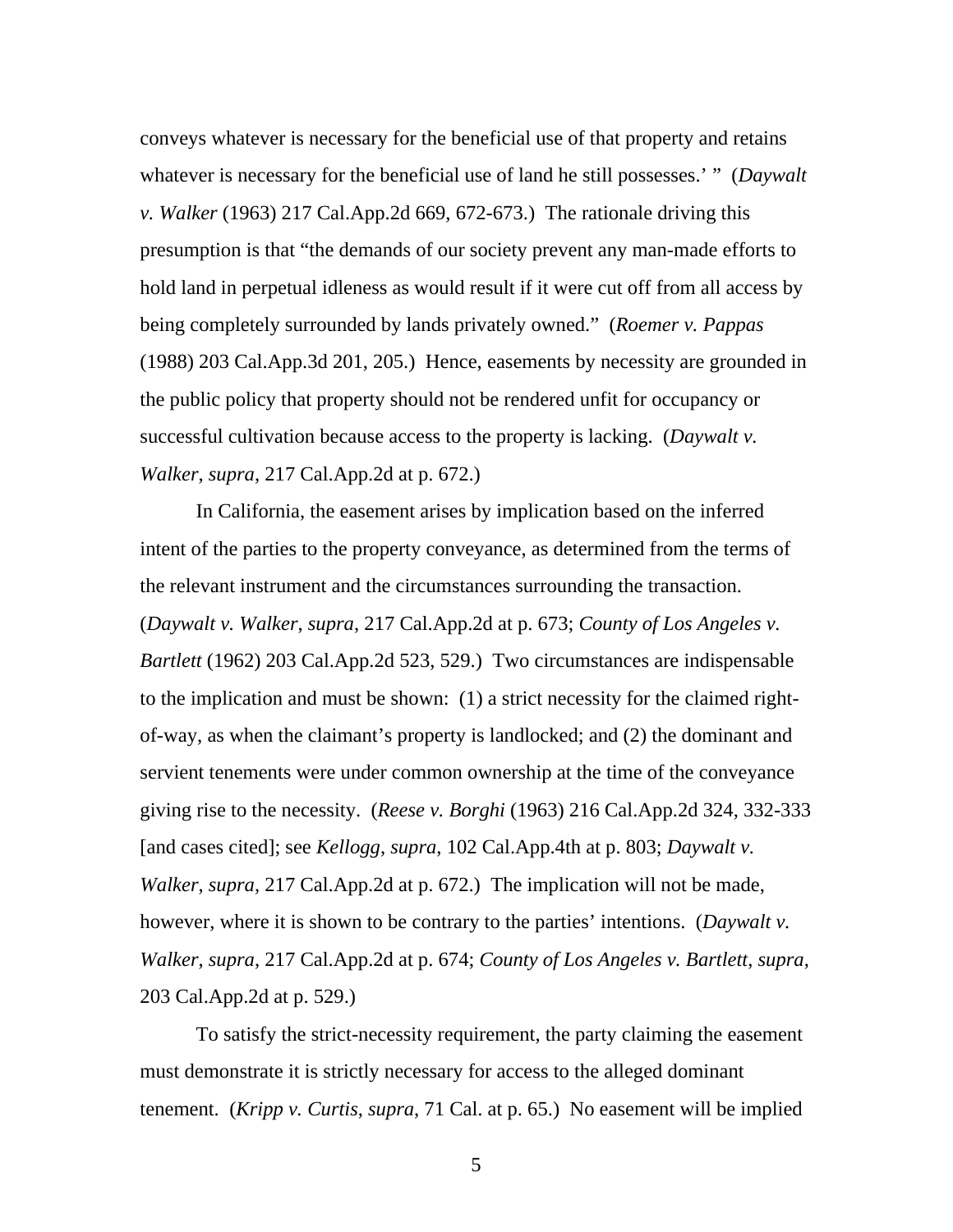conveys whatever is necessary for the beneficial use of that property and retains whatever is necessary for the beneficial use of land he still possesses.' " (*Daywalt v. Walker* (1963) 217 Cal.App.2d 669, 672-673.) The rationale driving this presumption is that "the demands of our society prevent any man-made efforts to hold land in perpetual idleness as would result if it were cut off from all access by being completely surrounded by lands privately owned." (*Roemer v. Pappas* (1988) 203 Cal.App.3d 201, 205.) Hence, easements by necessity are grounded in the public policy that property should not be rendered unfit for occupancy or successful cultivation because access to the property is lacking. (*Daywalt v. Walker*, *supra*, 217 Cal.App.2d at p. 672.)

In California, the easement arises by implication based on the inferred intent of the parties to the property conveyance, as determined from the terms of the relevant instrument and the circumstances surrounding the transaction. (*Daywalt v. Walker*, *supra*, 217 Cal.App.2d at p. 673; *County of Los Angeles v. Bartlett* (1962) 203 Cal.App.2d 523, 529.) Two circumstances are indispensable to the implication and must be shown: (1) a strict necessity for the claimed rightof-way, as when the claimant's property is landlocked; and (2) the dominant and servient tenements were under common ownership at the time of the conveyance giving rise to the necessity. (*Reese v. Borghi* (1963) 216 Cal.App.2d 324, 332-333 [and cases cited]; see *Kellogg*, *supra*, 102 Cal.App.4th at p. 803; *Daywalt v. Walker*, *supra*, 217 Cal.App.2d at p. 672.) The implication will not be made, however, where it is shown to be contrary to the parties' intentions. (*Daywalt v. Walker*, *supra*, 217 Cal.App.2d at p. 674; *County of Los Angeles v. Bartlett*, *supra*, 203 Cal.App.2d at p. 529.)

To satisfy the strict-necessity requirement, the party claiming the easement must demonstrate it is strictly necessary for access to the alleged dominant tenement. (*Kripp v. Curtis*, *supra*, 71 Cal. at p. 65.) No easement will be implied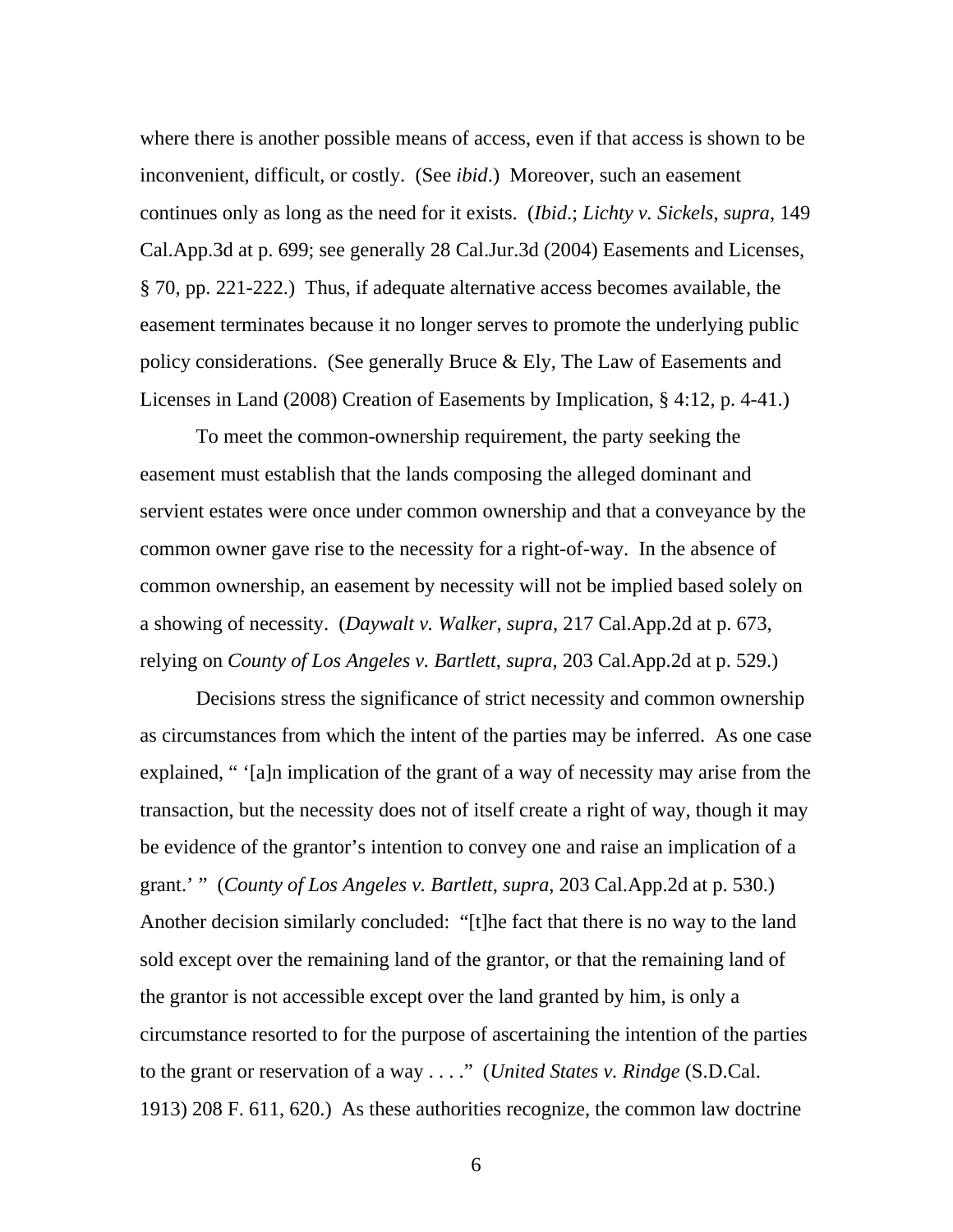where there is another possible means of access, even if that access is shown to be inconvenient, difficult, or costly. (See *ibid*.) Moreover, such an easement continues only as long as the need for it exists. (*Ibid*.; *Lichty v. Sickels*, *supra*, 149 Cal.App.3d at p. 699; see generally 28 Cal.Jur.3d (2004) Easements and Licenses, § 70, pp. 221-222.) Thus, if adequate alternative access becomes available, the easement terminates because it no longer serves to promote the underlying public policy considerations. (See generally Bruce  $\&$  Ely, The Law of Easements and Licenses in Land (2008) Creation of Easements by Implication, § 4:12, p. 4-41.)

To meet the common-ownership requirement, the party seeking the easement must establish that the lands composing the alleged dominant and servient estates were once under common ownership and that a conveyance by the common owner gave rise to the necessity for a right-of-way. In the absence of common ownership, an easement by necessity will not be implied based solely on a showing of necessity. (*Daywalt v. Walker*, *supra*, 217 Cal.App.2d at p. 673, relying on *County of Los Angeles v. Bartlett*, *supra*, 203 Cal.App.2d at p. 529.)

Decisions stress the significance of strict necessity and common ownership as circumstances from which the intent of the parties may be inferred. As one case explained, " '[a]n implication of the grant of a way of necessity may arise from the transaction, but the necessity does not of itself create a right of way, though it may be evidence of the grantor's intention to convey one and raise an implication of a grant.' " (*County of Los Angeles v. Bartlett*, *supra*, 203 Cal.App.2d at p. 530.) Another decision similarly concluded: "[t]he fact that there is no way to the land sold except over the remaining land of the grantor, or that the remaining land of the grantor is not accessible except over the land granted by him, is only a circumstance resorted to for the purpose of ascertaining the intention of the parties to the grant or reservation of a way . . . ." (*United States v. Rindge* (S.D.Cal. 1913) 208 F. 611, 620.) As these authorities recognize, the common law doctrine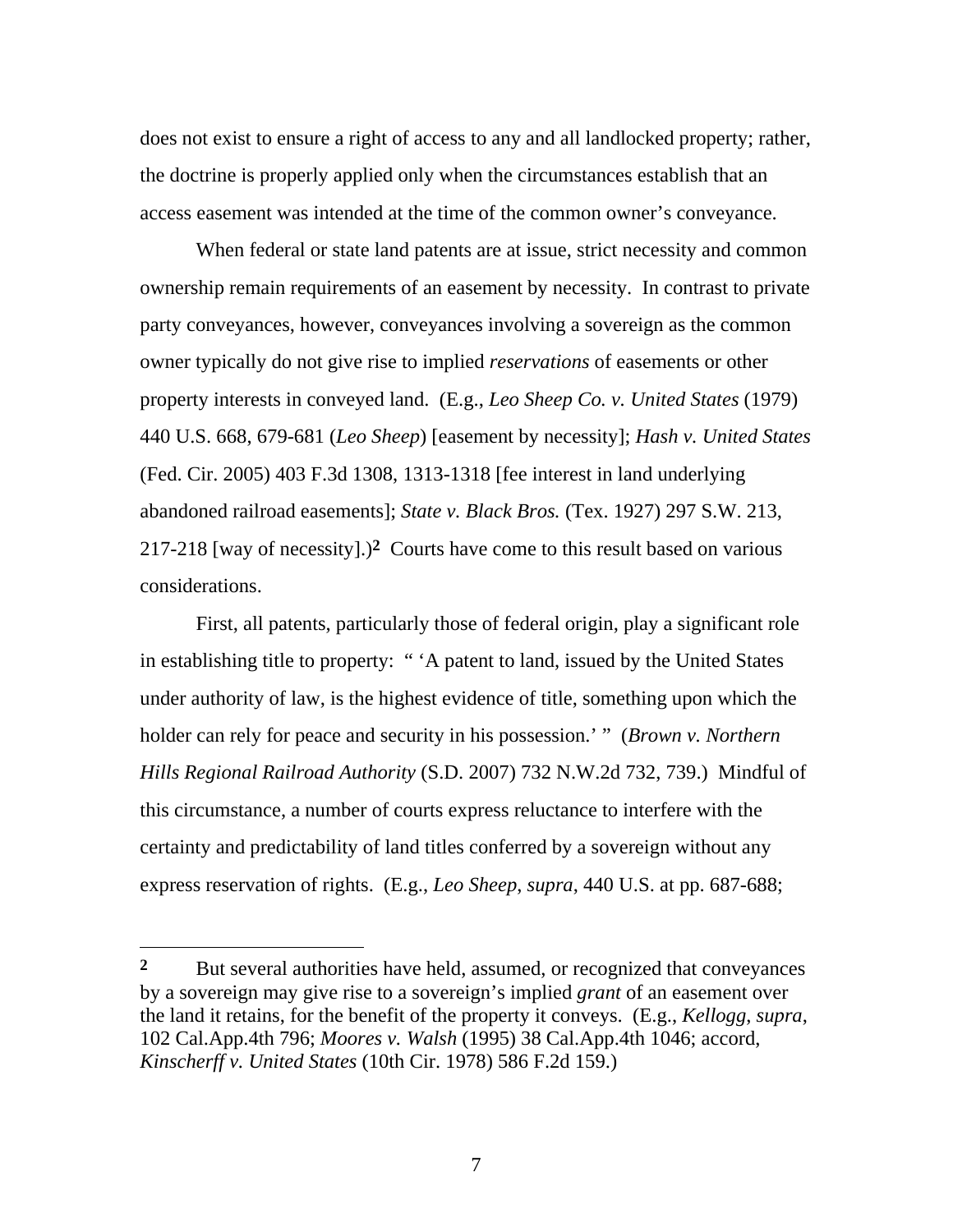does not exist to ensure a right of access to any and all landlocked property; rather, the doctrine is properly applied only when the circumstances establish that an access easement was intended at the time of the common owner's conveyance.

When federal or state land patents are at issue, strict necessity and common ownership remain requirements of an easement by necessity. In contrast to private party conveyances, however, conveyances involving a sovereign as the common owner typically do not give rise to implied *reservations* of easements or other property interests in conveyed land. (E.g., *Leo Sheep Co. v. United States* (1979) 440 U.S. 668, 679-681 (*Leo Sheep*) [easement by necessity]; *Hash v. United States* (Fed. Cir. 2005) 403 F.3d 1308, 1313-1318 [fee interest in land underlying abandoned railroad easements]; *State v. Black Bros.* (Tex. 1927) 297 S.W. 213, 217-218 [way of necessity].)**2** Courts have come to this result based on various considerations.

First, all patents, particularly those of federal origin, play a significant role in establishing title to property: " 'A patent to land, issued by the United States under authority of law, is the highest evidence of title, something upon which the holder can rely for peace and security in his possession.' " (*Brown v. Northern Hills Regional Railroad Authority* (S.D. 2007) 732 N.W.2d 732, 739.) Mindful of this circumstance, a number of courts express reluctance to interfere with the certainty and predictability of land titles conferred by a sovereign without any express reservation of rights. (E.g., *Leo Sheep*, *supra*, 440 U.S. at pp. 687-688;

 $\overline{a}$ 

<sup>&</sup>lt;sup>2</sup> But several authorities have held, assumed, or recognized that conveyances by a sovereign may give rise to a sovereign's implied *grant* of an easement over the land it retains, for the benefit of the property it conveys. (E.g., *Kellogg*, *supra*, 102 Cal.App.4th 796; *Moores v. Walsh* (1995) 38 Cal.App.4th 1046; accord, *Kinscherff v. United States* (10th Cir. 1978) 586 F.2d 159.)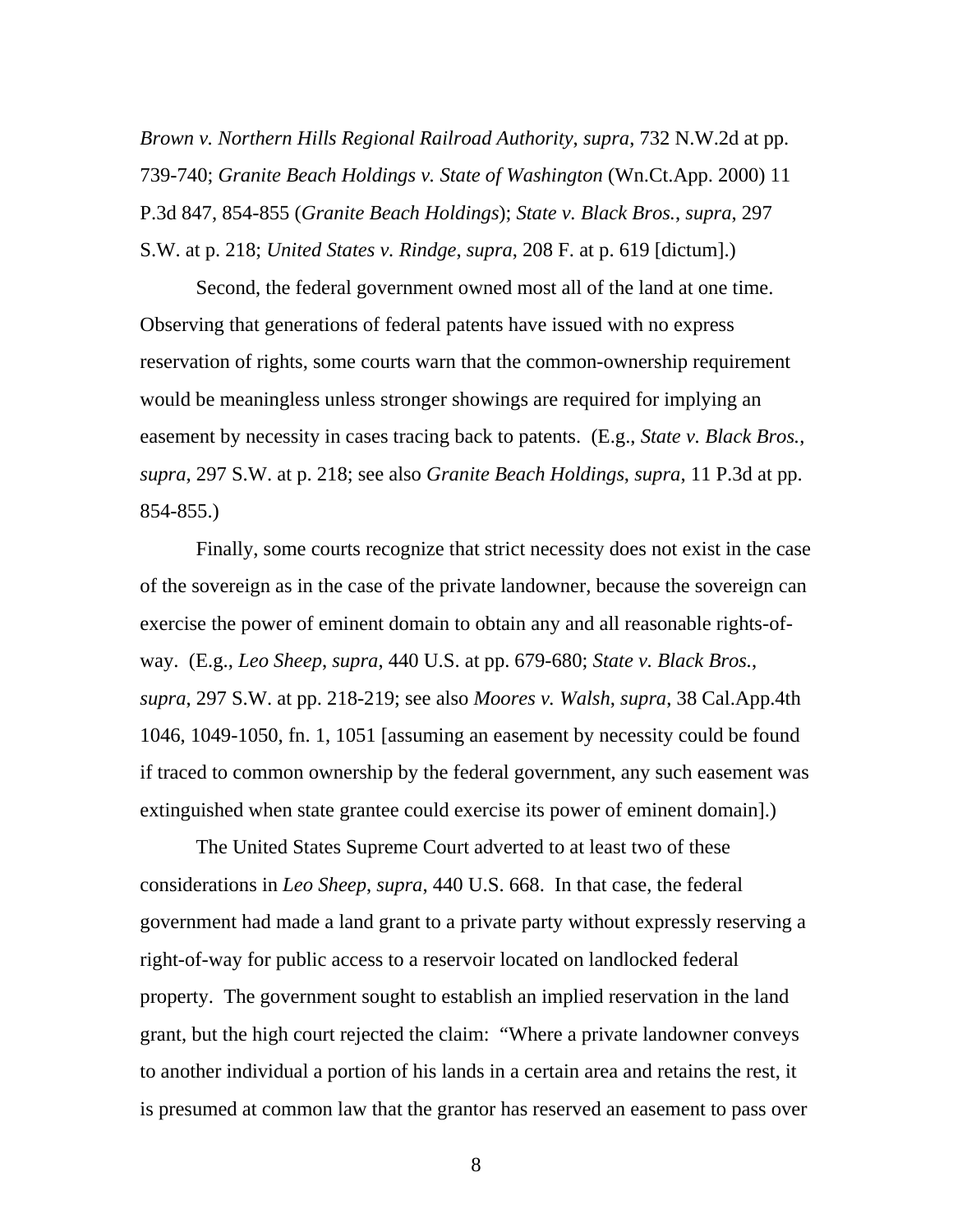*Brown v. Northern Hills Regional Railroad Authority*, *supra*, 732 N.W.2d at pp. 739-740; *Granite Beach Holdings v. State of Washington* (Wn.Ct.App. 2000) 11 P.3d 847, 854-855 (*Granite Beach Holdings*); *State v. Black Bros.*, *supra*, 297 S.W. at p. 218; *United States v. Rindge*, *supra*, 208 F. at p. 619 [dictum].)

Second, the federal government owned most all of the land at one time. Observing that generations of federal patents have issued with no express reservation of rights, some courts warn that the common-ownership requirement would be meaningless unless stronger showings are required for implying an easement by necessity in cases tracing back to patents. (E.g., *State v. Black Bros.*, *supra*, 297 S.W. at p. 218; see also *Granite Beach Holdings*, *supra*, 11 P.3d at pp. 854-855.)

Finally, some courts recognize that strict necessity does not exist in the case of the sovereign as in the case of the private landowner, because the sovereign can exercise the power of eminent domain to obtain any and all reasonable rights-ofway. (E.g., *Leo Sheep*, *supra*, 440 U.S. at pp. 679-680; *State v. Black Bros.*, *supra*, 297 S.W. at pp. 218-219; see also *Moores v. Walsh*, *supra*, 38 Cal.App.4th 1046, 1049-1050, fn. 1, 1051 [assuming an easement by necessity could be found if traced to common ownership by the federal government, any such easement was extinguished when state grantee could exercise its power of eminent domain].)

The United States Supreme Court adverted to at least two of these considerations in *Leo Sheep*, *supra*, 440 U.S. 668. In that case, the federal government had made a land grant to a private party without expressly reserving a right-of-way for public access to a reservoir located on landlocked federal property. The government sought to establish an implied reservation in the land grant, but the high court rejected the claim: "Where a private landowner conveys to another individual a portion of his lands in a certain area and retains the rest, it is presumed at common law that the grantor has reserved an easement to pass over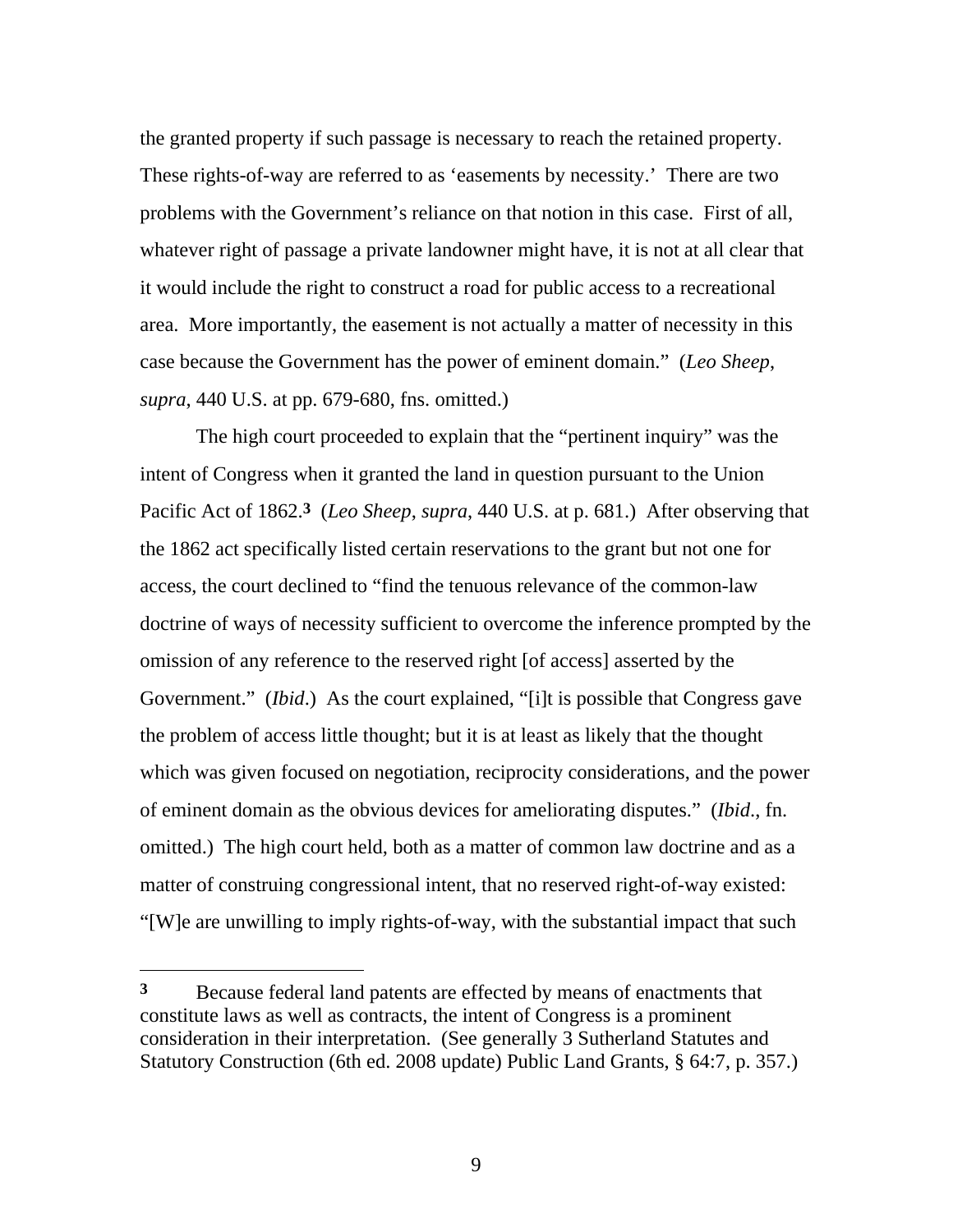the granted property if such passage is necessary to reach the retained property. These rights-of-way are referred to as 'easements by necessity.' There are two problems with the Government's reliance on that notion in this case. First of all, whatever right of passage a private landowner might have, it is not at all clear that it would include the right to construct a road for public access to a recreational area. More importantly, the easement is not actually a matter of necessity in this case because the Government has the power of eminent domain." (*Leo Sheep*, *supra*, 440 U.S. at pp. 679-680, fns. omitted.)

The high court proceeded to explain that the "pertinent inquiry" was the intent of Congress when it granted the land in question pursuant to the Union Pacific Act of 1862.**3** (*Leo Sheep*, *supra*, 440 U.S. at p. 681.) After observing that the 1862 act specifically listed certain reservations to the grant but not one for access, the court declined to "find the tenuous relevance of the common-law doctrine of ways of necessity sufficient to overcome the inference prompted by the omission of any reference to the reserved right [of access] asserted by the Government." (*Ibid*.) As the court explained, "[i]t is possible that Congress gave the problem of access little thought; but it is at least as likely that the thought which was given focused on negotiation, reciprocity considerations, and the power of eminent domain as the obvious devices for ameliorating disputes." (*Ibid*., fn. omitted.) The high court held, both as a matter of common law doctrine and as a matter of construing congressional intent, that no reserved right-of-way existed: "[W]e are unwilling to imply rights-of-way, with the substantial impact that such

 $\overline{a}$ 

**<sup>3</sup>** Because federal land patents are effected by means of enactments that constitute laws as well as contracts, the intent of Congress is a prominent consideration in their interpretation. (See generally 3 Sutherland Statutes and Statutory Construction (6th ed. 2008 update) Public Land Grants, § 64:7, p. 357.)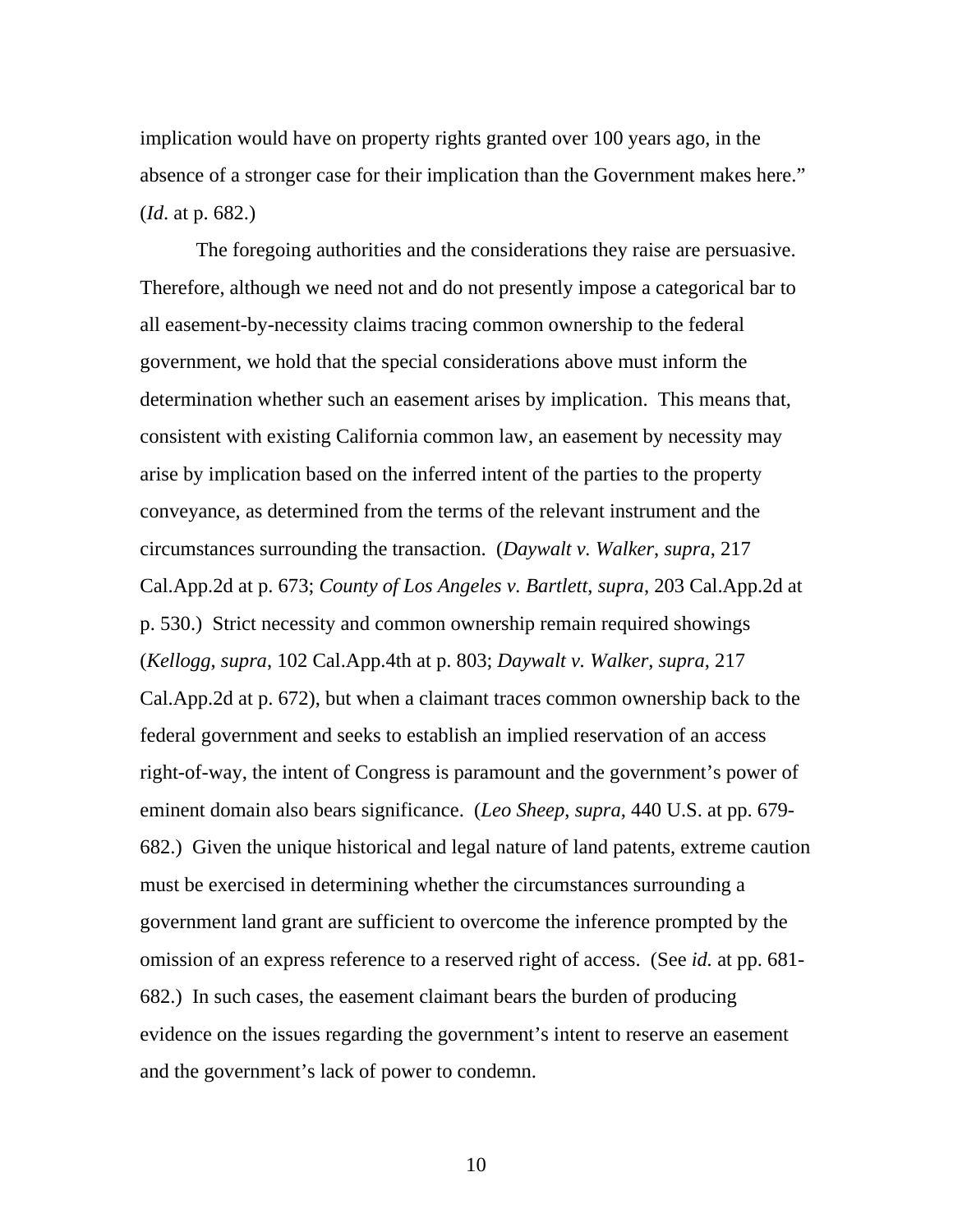implication would have on property rights granted over 100 years ago, in the absence of a stronger case for their implication than the Government makes here." (*Id*. at p. 682.)

The foregoing authorities and the considerations they raise are persuasive. Therefore, although we need not and do not presently impose a categorical bar to all easement-by-necessity claims tracing common ownership to the federal government, we hold that the special considerations above must inform the determination whether such an easement arises by implication. This means that, consistent with existing California common law, an easement by necessity may arise by implication based on the inferred intent of the parties to the property conveyance, as determined from the terms of the relevant instrument and the circumstances surrounding the transaction. (*Daywalt v. Walker*, *supra*, 217 Cal.App.2d at p. 673; *County of Los Angeles v. Bartlett*, *supra*, 203 Cal.App.2d at p. 530.) Strict necessity and common ownership remain required showings (*Kellogg*, *supra*, 102 Cal.App.4th at p. 803; *Daywalt v. Walker*, *supra*, 217 Cal.App.2d at p. 672), but when a claimant traces common ownership back to the federal government and seeks to establish an implied reservation of an access right-of-way, the intent of Congress is paramount and the government's power of eminent domain also bears significance. (*Leo Sheep*, *supra*, 440 U.S. at pp. 679- 682.) Given the unique historical and legal nature of land patents, extreme caution must be exercised in determining whether the circumstances surrounding a government land grant are sufficient to overcome the inference prompted by the omission of an express reference to a reserved right of access. (See *id.* at pp. 681- 682.) In such cases, the easement claimant bears the burden of producing evidence on the issues regarding the government's intent to reserve an easement and the government's lack of power to condemn.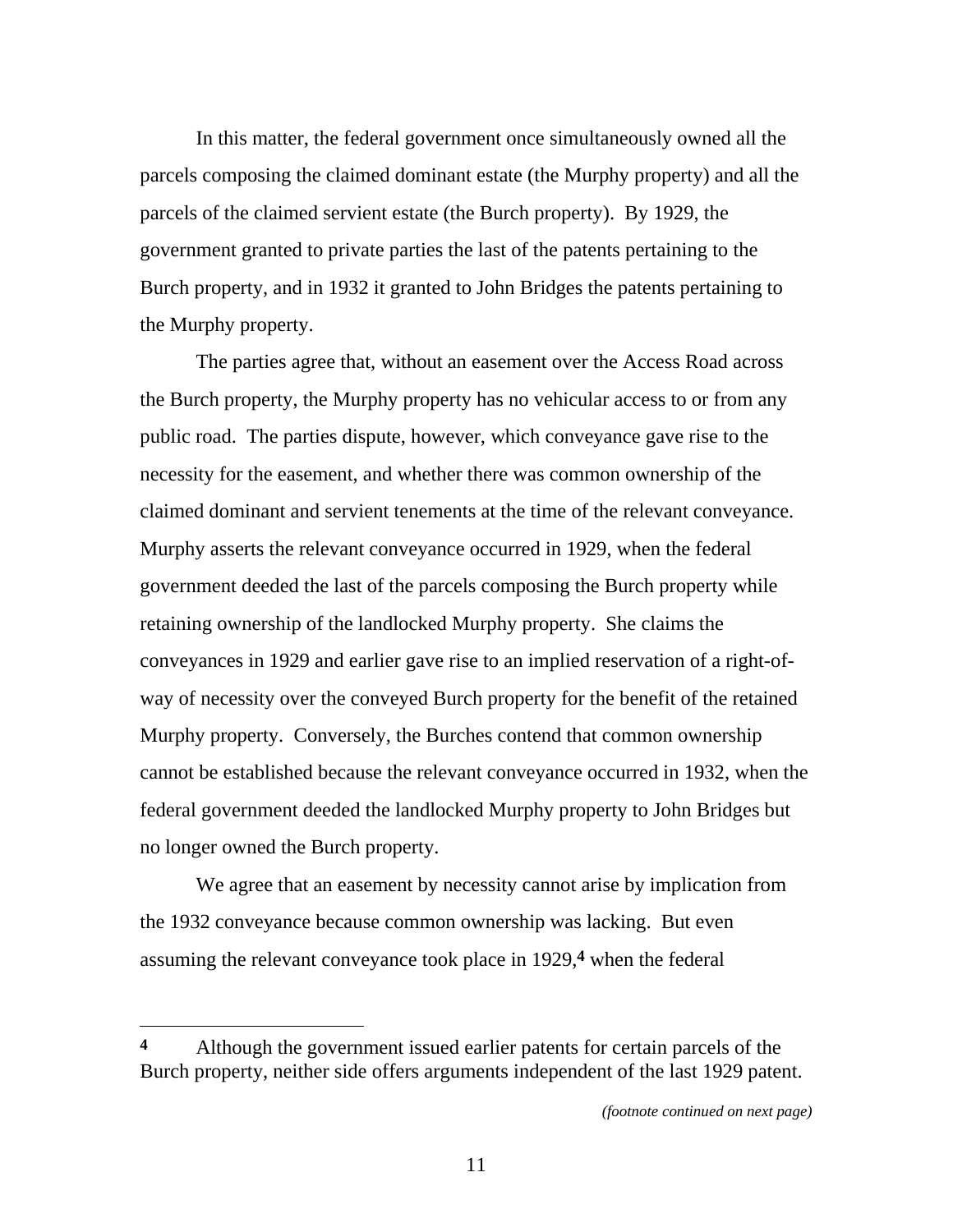In this matter, the federal government once simultaneously owned all the parcels composing the claimed dominant estate (the Murphy property) and all the parcels of the claimed servient estate (the Burch property). By 1929, the government granted to private parties the last of the patents pertaining to the Burch property, and in 1932 it granted to John Bridges the patents pertaining to the Murphy property.

The parties agree that, without an easement over the Access Road across the Burch property, the Murphy property has no vehicular access to or from any public road. The parties dispute, however, which conveyance gave rise to the necessity for the easement, and whether there was common ownership of the claimed dominant and servient tenements at the time of the relevant conveyance. Murphy asserts the relevant conveyance occurred in 1929, when the federal government deeded the last of the parcels composing the Burch property while retaining ownership of the landlocked Murphy property. She claims the conveyances in 1929 and earlier gave rise to an implied reservation of a right-ofway of necessity over the conveyed Burch property for the benefit of the retained Murphy property. Conversely, the Burches contend that common ownership cannot be established because the relevant conveyance occurred in 1932, when the federal government deeded the landlocked Murphy property to John Bridges but no longer owned the Burch property.

We agree that an easement by necessity cannot arise by implication from the 1932 conveyance because common ownership was lacking. But even assuming the relevant conveyance took place in 1929,**4** when the federal

**<sup>4</sup>** Although the government issued earlier patents for certain parcels of the Burch property, neither side offers arguments independent of the last 1929 patent.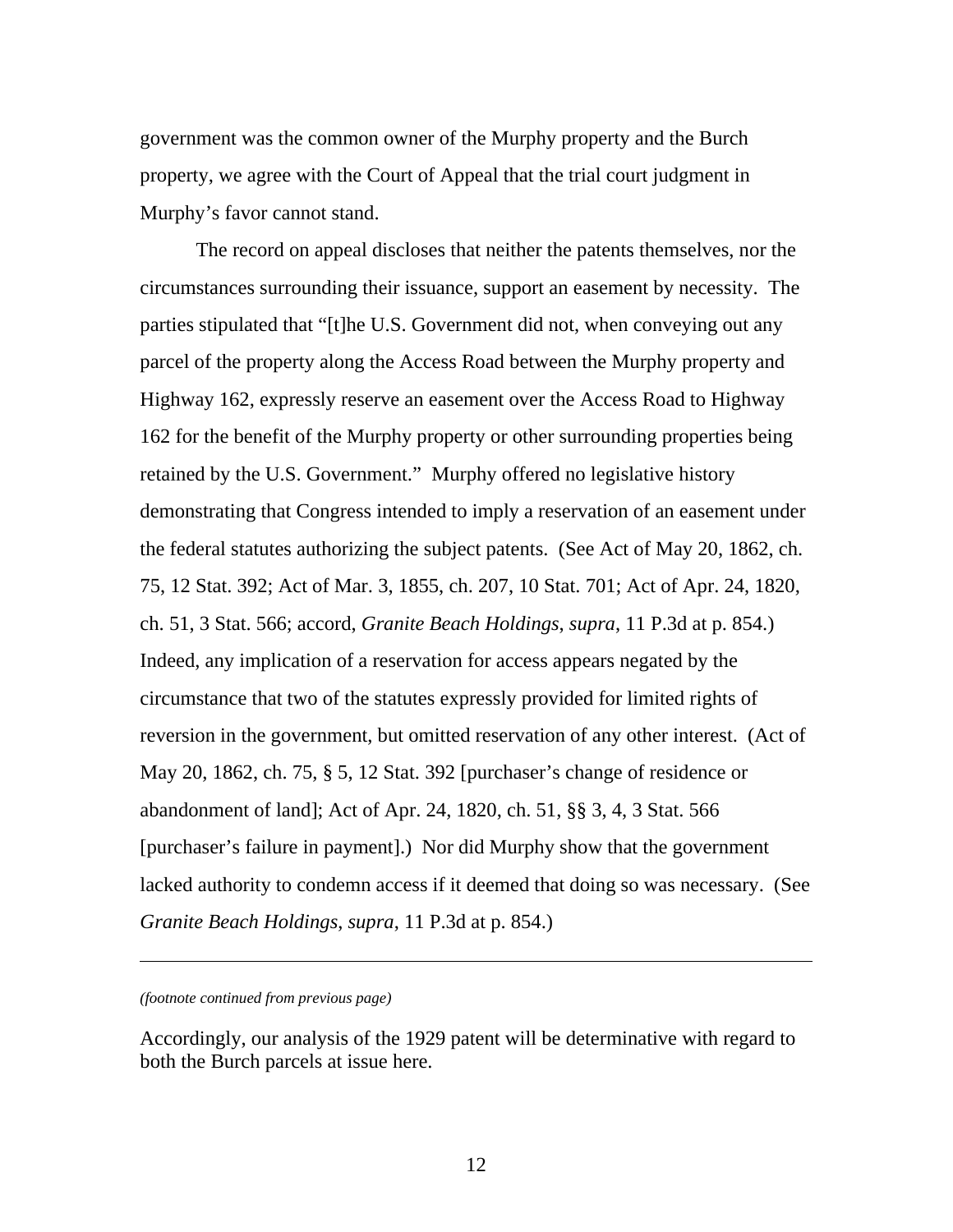government was the common owner of the Murphy property and the Burch property, we agree with the Court of Appeal that the trial court judgment in Murphy's favor cannot stand.

The record on appeal discloses that neither the patents themselves, nor the circumstances surrounding their issuance, support an easement by necessity. The parties stipulated that "[t]he U.S. Government did not, when conveying out any parcel of the property along the Access Road between the Murphy property and Highway 162, expressly reserve an easement over the Access Road to Highway 162 for the benefit of the Murphy property or other surrounding properties being retained by the U.S. Government." Murphy offered no legislative history demonstrating that Congress intended to imply a reservation of an easement under the federal statutes authorizing the subject patents. (See Act of May 20, 1862, ch. 75, 12 Stat. 392; Act of Mar. 3, 1855, ch. 207, 10 Stat. 701; Act of Apr. 24, 1820, ch. 51, 3 Stat. 566; accord, *Granite Beach Holdings*, *supra*, 11 P.3d at p. 854.) Indeed, any implication of a reservation for access appears negated by the circumstance that two of the statutes expressly provided for limited rights of reversion in the government, but omitted reservation of any other interest. (Act of May 20, 1862, ch. 75, § 5, 12 Stat. 392 [purchaser's change of residence or abandonment of land]; Act of Apr. 24, 1820, ch. 51, §§ 3, 4, 3 Stat. 566 [purchaser's failure in payment].) Nor did Murphy show that the government lacked authority to condemn access if it deemed that doing so was necessary. (See *Granite Beach Holdings*, *supra*, 11 P.3d at p. 854.)

*(footnote continued from previous page)* 

l

Accordingly, our analysis of the 1929 patent will be determinative with regard to both the Burch parcels at issue here.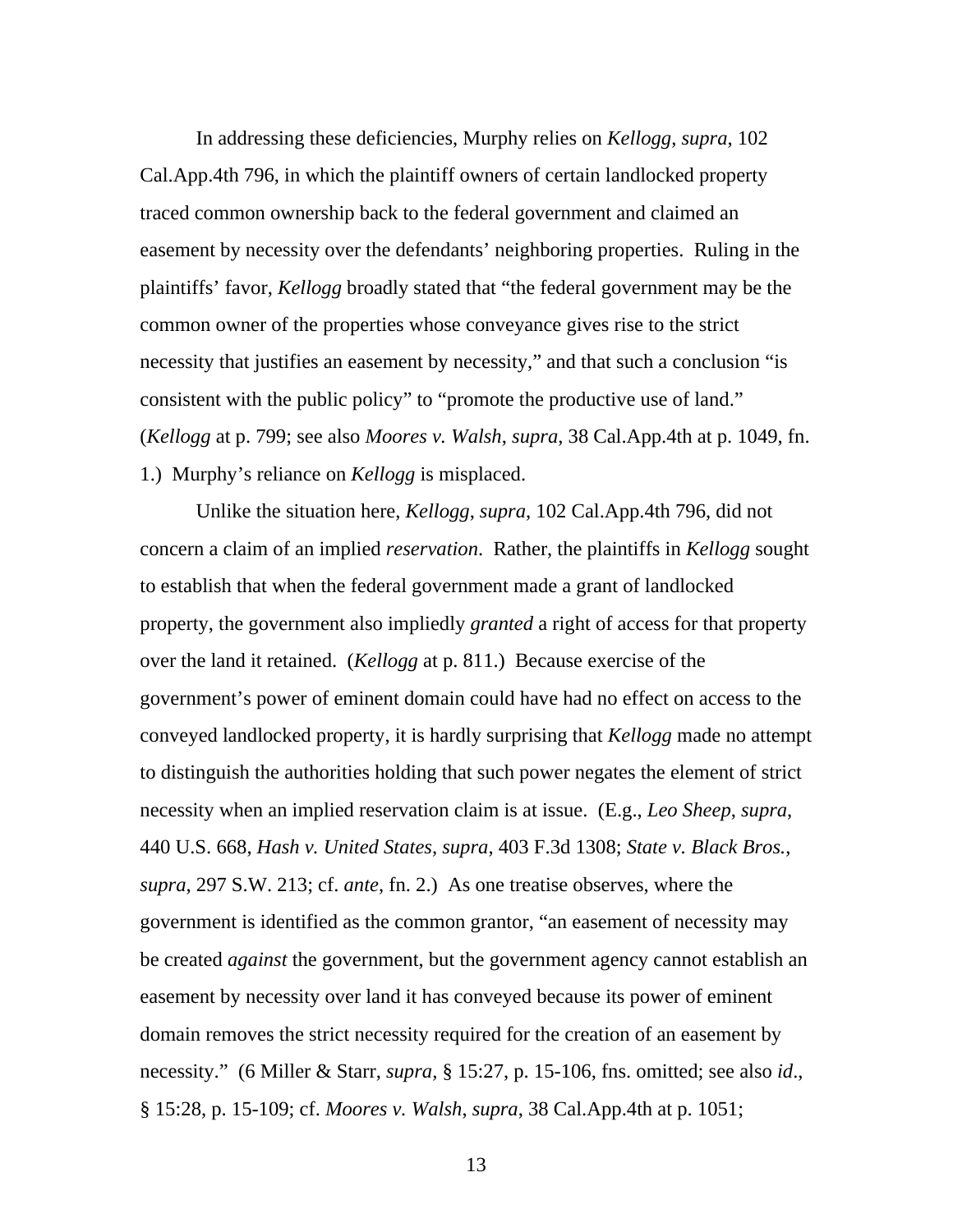In addressing these deficiencies, Murphy relies on *Kellogg*, *supra*, 102 Cal.App.4th 796, in which the plaintiff owners of certain landlocked property traced common ownership back to the federal government and claimed an easement by necessity over the defendants' neighboring properties. Ruling in the plaintiffs' favor, *Kellogg* broadly stated that "the federal government may be the common owner of the properties whose conveyance gives rise to the strict necessity that justifies an easement by necessity," and that such a conclusion "is consistent with the public policy" to "promote the productive use of land." (*Kellogg* at p. 799; see also *Moores v. Walsh*, *supra*, 38 Cal.App.4th at p. 1049, fn. 1.) Murphy's reliance on *Kellogg* is misplaced.

Unlike the situation here, *Kellogg*, *supra*, 102 Cal.App.4th 796, did not concern a claim of an implied *reservation*. Rather, the plaintiffs in *Kellogg* sought to establish that when the federal government made a grant of landlocked property, the government also impliedly *granted* a right of access for that property over the land it retained. (*Kellogg* at p. 811.) Because exercise of the government's power of eminent domain could have had no effect on access to the conveyed landlocked property, it is hardly surprising that *Kellogg* made no attempt to distinguish the authorities holding that such power negates the element of strict necessity when an implied reservation claim is at issue. (E.g., *Leo Sheep*, *supra*, 440 U.S. 668, *Hash v. United States*, *supra*, 403 F.3d 1308; *State v. Black Bros.*, *supra*, 297 S.W. 213; cf. *ante*, fn. 2.) As one treatise observes, where the government is identified as the common grantor, "an easement of necessity may be created *against* the government, but the government agency cannot establish an easement by necessity over land it has conveyed because its power of eminent domain removes the strict necessity required for the creation of an easement by necessity." (6 Miller & Starr, *supra*, § 15:27, p. 15-106, fns. omitted; see also *id*., § 15:28, p. 15-109; cf. *Moores v. Walsh*, *supra*, 38 Cal.App.4th at p. 1051;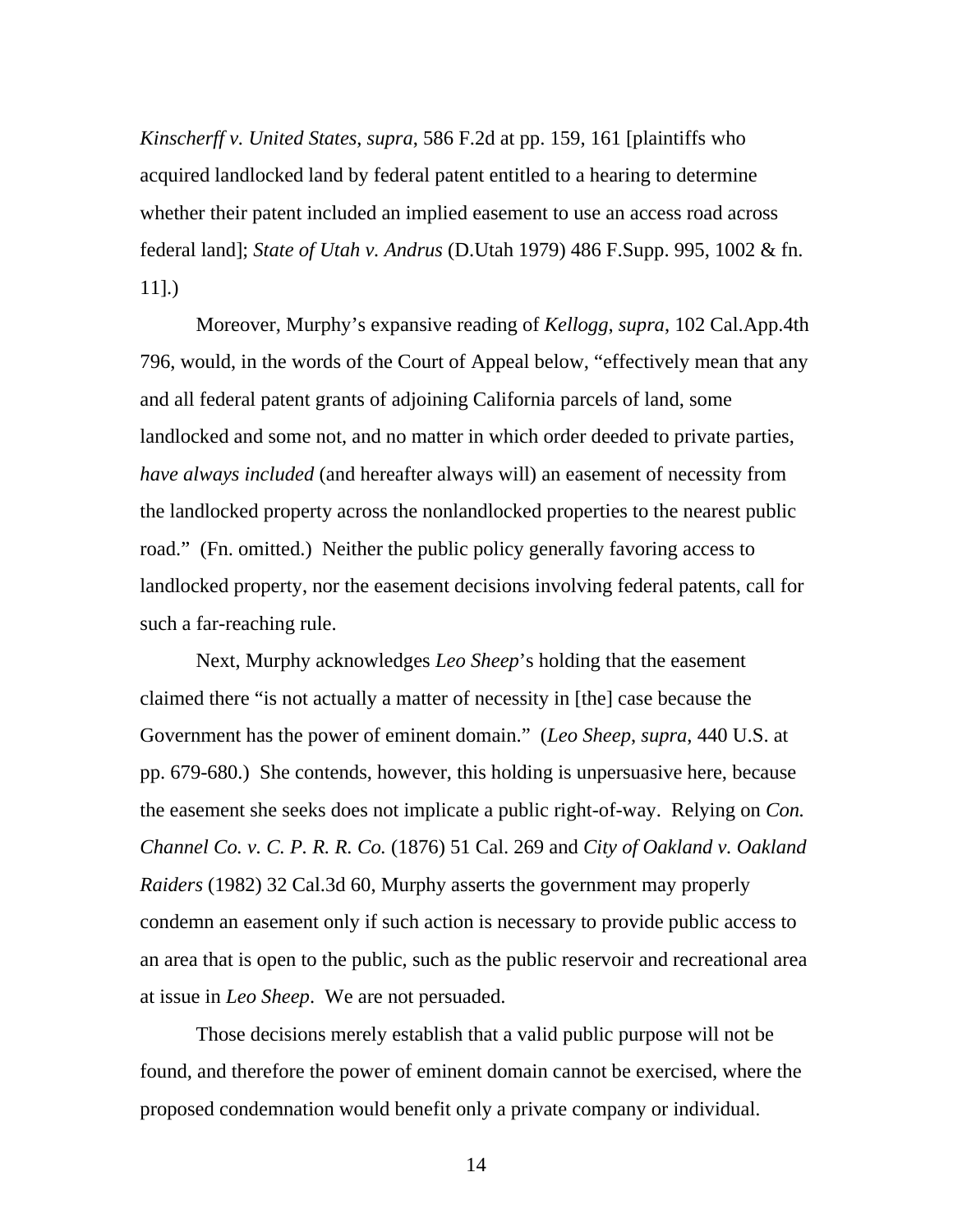*Kinscherff v. United States*, *supra*, 586 F.2d at pp. 159, 161 [plaintiffs who acquired landlocked land by federal patent entitled to a hearing to determine whether their patent included an implied easement to use an access road across federal land]; *State of Utah v. Andrus* (D.Utah 1979) 486 F.Supp. 995, 1002 & fn. 11].)

Moreover, Murphy's expansive reading of *Kellogg*, *supra*, 102 Cal.App.4th 796, would, in the words of the Court of Appeal below, "effectively mean that any and all federal patent grants of adjoining California parcels of land, some landlocked and some not, and no matter in which order deeded to private parties, *have always included* (and hereafter always will) an easement of necessity from the landlocked property across the nonlandlocked properties to the nearest public road." (Fn. omitted.) Neither the public policy generally favoring access to landlocked property, nor the easement decisions involving federal patents, call for such a far-reaching rule.

Next, Murphy acknowledges *Leo Sheep*'s holding that the easement claimed there "is not actually a matter of necessity in [the] case because the Government has the power of eminent domain." (*Leo Sheep*, *supra*, 440 U.S. at pp. 679-680.) She contends, however, this holding is unpersuasive here, because the easement she seeks does not implicate a public right-of-way. Relying on *Con. Channel Co. v. C. P. R. R. Co.* (1876) 51 Cal. 269 and *City of Oakland v. Oakland Raiders* (1982) 32 Cal.3d 60, Murphy asserts the government may properly condemn an easement only if such action is necessary to provide public access to an area that is open to the public, such as the public reservoir and recreational area at issue in *Leo Sheep*. We are not persuaded.

Those decisions merely establish that a valid public purpose will not be found, and therefore the power of eminent domain cannot be exercised, where the proposed condemnation would benefit only a private company or individual.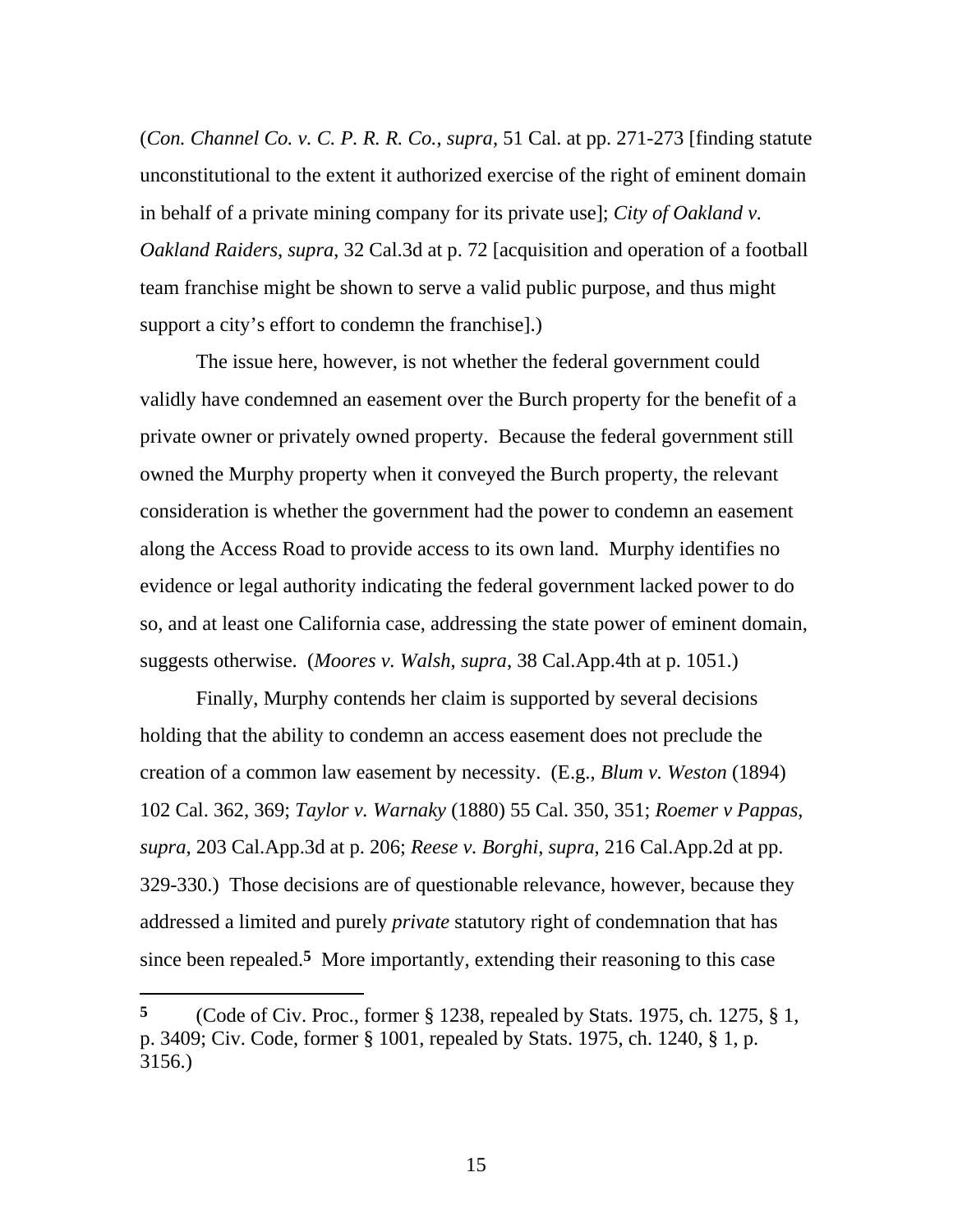(*Con. Channel Co. v. C. P. R. R. Co.*, *supra*, 51 Cal. at pp. 271-273 [finding statute unconstitutional to the extent it authorized exercise of the right of eminent domain in behalf of a private mining company for its private use]; *City of Oakland v. Oakland Raiders*, *supra*, 32 Cal.3d at p. 72 [acquisition and operation of a football team franchise might be shown to serve a valid public purpose, and thus might support a city's effort to condemn the franchise].)

The issue here, however, is not whether the federal government could validly have condemned an easement over the Burch property for the benefit of a private owner or privately owned property. Because the federal government still owned the Murphy property when it conveyed the Burch property, the relevant consideration is whether the government had the power to condemn an easement along the Access Road to provide access to its own land. Murphy identifies no evidence or legal authority indicating the federal government lacked power to do so, and at least one California case, addressing the state power of eminent domain, suggests otherwise. (*Moores v. Walsh*, *supra*, 38 Cal.App.4th at p. 1051.)

Finally, Murphy contends her claim is supported by several decisions holding that the ability to condemn an access easement does not preclude the creation of a common law easement by necessity. (E.g., *Blum v. Weston* (1894) 102 Cal. 362, 369; *Taylor v. Warnaky* (1880) 55 Cal. 350, 351; *Roemer v Pappas*, *supra*, 203 Cal.App.3d at p. 206; *Reese v. Borghi*, *supra*, 216 Cal.App.2d at pp. 329-330.) Those decisions are of questionable relevance, however, because they addressed a limited and purely *private* statutory right of condemnation that has since been repealed.**5** More importantly, extending their reasoning to this case

 $\overline{a}$ 

**<sup>5</sup>** (Code of Civ. Proc., former § 1238, repealed by Stats. 1975, ch. 1275, § 1, p. 3409; Civ. Code, former § 1001, repealed by Stats. 1975, ch. 1240, § 1, p. 3156.)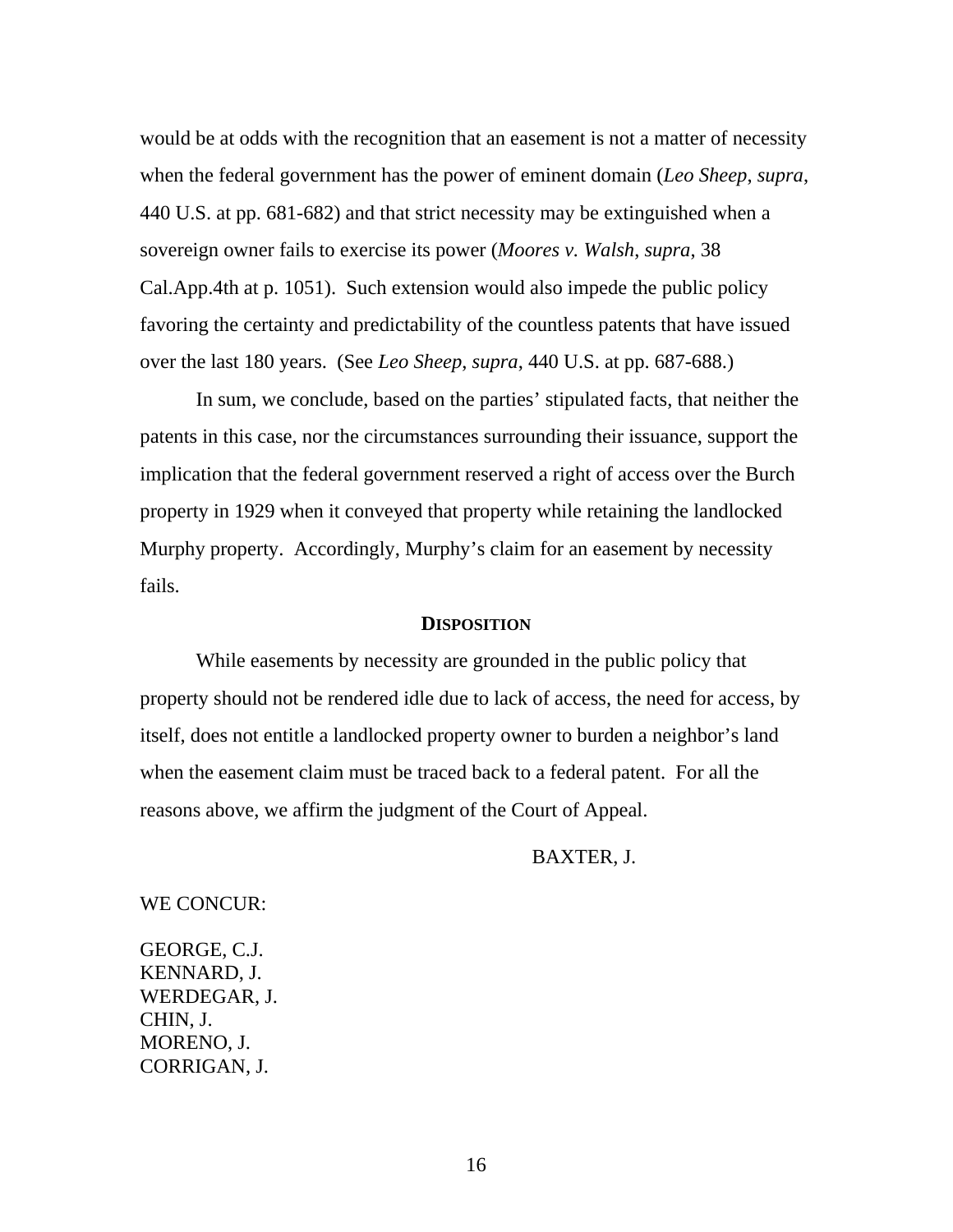would be at odds with the recognition that an easement is not a matter of necessity when the federal government has the power of eminent domain (*Leo Sheep*, *supra*, 440 U.S. at pp. 681-682) and that strict necessity may be extinguished when a sovereign owner fails to exercise its power (*Moores v. Walsh*, *supra*, 38 Cal.App.4th at p. 1051). Such extension would also impede the public policy favoring the certainty and predictability of the countless patents that have issued over the last 180 years. (See *Leo Sheep*, *supra*, 440 U.S. at pp. 687-688.)

In sum, we conclude, based on the parties' stipulated facts, that neither the patents in this case, nor the circumstances surrounding their issuance, support the implication that the federal government reserved a right of access over the Burch property in 1929 when it conveyed that property while retaining the landlocked Murphy property. Accordingly, Murphy's claim for an easement by necessity fails.

### **DISPOSITION**

While easements by necessity are grounded in the public policy that property should not be rendered idle due to lack of access, the need for access, by itself, does not entitle a landlocked property owner to burden a neighbor's land when the easement claim must be traced back to a federal patent. For all the reasons above, we affirm the judgment of the Court of Appeal.

BAXTER, J.

#### WE CONCUR:

GEORGE, C.J. KENNARD, J. WERDEGAR, J. CHIN, J. MORENO, J. CORRIGAN, J.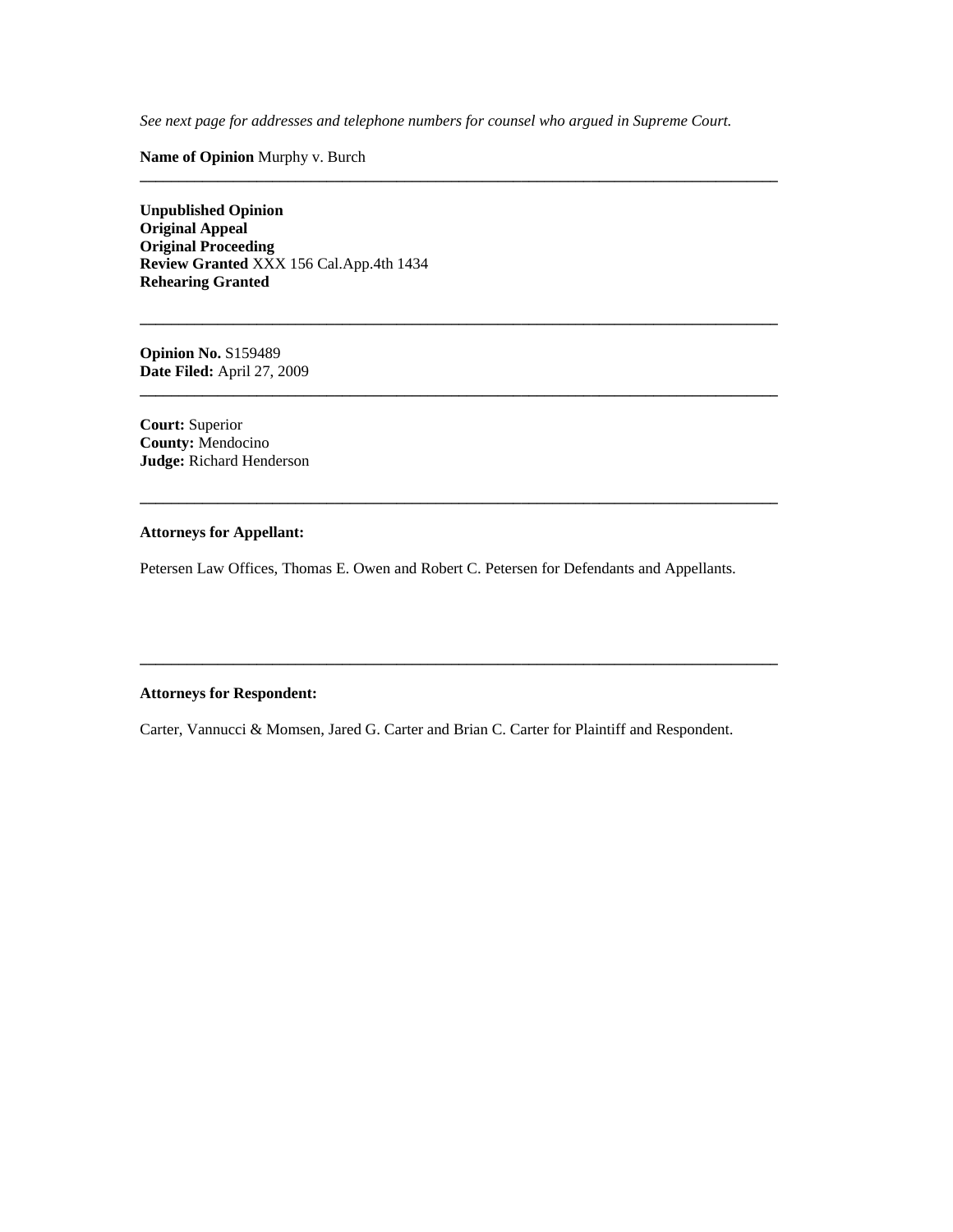*See next page for addresses and telephone numbers for counsel who argued in Supreme Court.* 

**\_\_\_\_\_\_\_\_\_\_\_\_\_\_\_\_\_\_\_\_\_\_\_\_\_\_\_\_\_\_\_\_\_\_\_\_\_\_\_\_\_\_\_\_\_\_\_\_\_\_\_\_\_\_\_\_\_\_\_\_\_\_\_\_\_\_\_\_\_\_\_\_\_\_\_\_\_\_\_\_\_\_** 

**\_\_\_\_\_\_\_\_\_\_\_\_\_\_\_\_\_\_\_\_\_\_\_\_\_\_\_\_\_\_\_\_\_\_\_\_\_\_\_\_\_\_\_\_\_\_\_\_\_\_\_\_\_\_\_\_\_\_\_\_\_\_\_\_\_\_\_\_\_\_\_\_\_\_\_\_\_\_\_\_\_\_** 

**\_\_\_\_\_\_\_\_\_\_\_\_\_\_\_\_\_\_\_\_\_\_\_\_\_\_\_\_\_\_\_\_\_\_\_\_\_\_\_\_\_\_\_\_\_\_\_\_\_\_\_\_\_\_\_\_\_\_\_\_\_\_\_\_\_\_\_\_\_\_\_\_\_\_\_\_\_\_\_\_\_\_** 

**\_\_\_\_\_\_\_\_\_\_\_\_\_\_\_\_\_\_\_\_\_\_\_\_\_\_\_\_\_\_\_\_\_\_\_\_\_\_\_\_\_\_\_\_\_\_\_\_\_\_\_\_\_\_\_\_\_\_\_\_\_\_\_\_\_\_\_\_\_\_\_\_\_\_\_\_\_\_\_\_\_\_** 

**\_\_\_\_\_\_\_\_\_\_\_\_\_\_\_\_\_\_\_\_\_\_\_\_\_\_\_\_\_\_\_\_\_\_\_\_\_\_\_\_\_\_\_\_\_\_\_\_\_\_\_\_\_\_\_\_\_\_\_\_\_\_\_\_\_\_\_\_\_\_\_\_\_\_\_\_\_\_\_\_\_\_** 

**Name of Opinion** Murphy v. Burch

**Unpublished Opinion Original Appeal Original Proceeding Review Granted** XXX 156 Cal.App.4th 1434 **Rehearing Granted** 

**Opinion No.** S159489 **Date Filed:** April 27, 2009

**Court:** Superior **County:** Mendocino **Judge:** Richard Henderson

#### **Attorneys for Appellant:**

Petersen Law Offices, Thomas E. Owen and Robert C. Petersen for Defendants and Appellants.

#### **Attorneys for Respondent:**

Carter, Vannucci & Momsen, Jared G. Carter and Brian C. Carter for Plaintiff and Respondent.